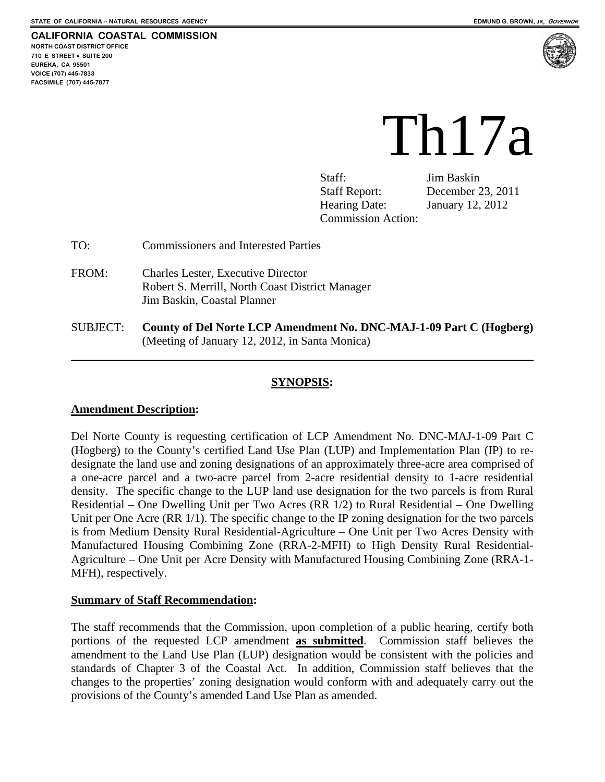**FACSIMILE (707) 445-7877** 





# Th17a

Staff: Jim Baskin Staff Report: December 23, 2011 Hearing Date: January 12, 2012 Commission Action:

- TO: Commissioners and Interested Parties
- FROM: Charles Lester, Executive Director Robert S. Merrill, North Coast District Manager Jim Baskin, Coastal Planner
- SUBJECT: **County of Del Norte LCP Amendment No. DNC-MAJ-1-09 Part C (Hogberg)**  (Meeting of January 12, 2012, in Santa Monica)

## **SYNOPSIS:**

#### **Amendment Description:**

Del Norte County is requesting certification of LCP Amendment No. DNC-MAJ-1-09 Part C (Hogberg) to the County's certified Land Use Plan (LUP) and Implementation Plan (IP) to redesignate the land use and zoning designations of an approximately three-acre area comprised of a one-acre parcel and a two-acre parcel from 2-acre residential density to 1-acre residential density. The specific change to the LUP land use designation for the two parcels is from Rural Residential – One Dwelling Unit per Two Acres (RR 1/2) to Rural Residential – One Dwelling Unit per One Acre (RR 1/1). The specific change to the IP zoning designation for the two parcels is from Medium Density Rural Residential-Agriculture – One Unit per Two Acres Density with Manufactured Housing Combining Zone (RRA-2-MFH) to High Density Rural Residential-Agriculture – One Unit per Acre Density with Manufactured Housing Combining Zone (RRA-1- MFH), respectively.

#### **Summary of Staff Recommendation:**

The staff recommends that the Commission, upon completion of a public hearing, certify both portions of the requested LCP amendment **as submitted**. Commission staff believes the amendment to the Land Use Plan (LUP) designation would be consistent with the policies and standards of Chapter 3 of the Coastal Act. In addition, Commission staff believes that the changes to the properties' zoning designation would conform with and adequately carry out the provisions of the County's amended Land Use Plan as amended.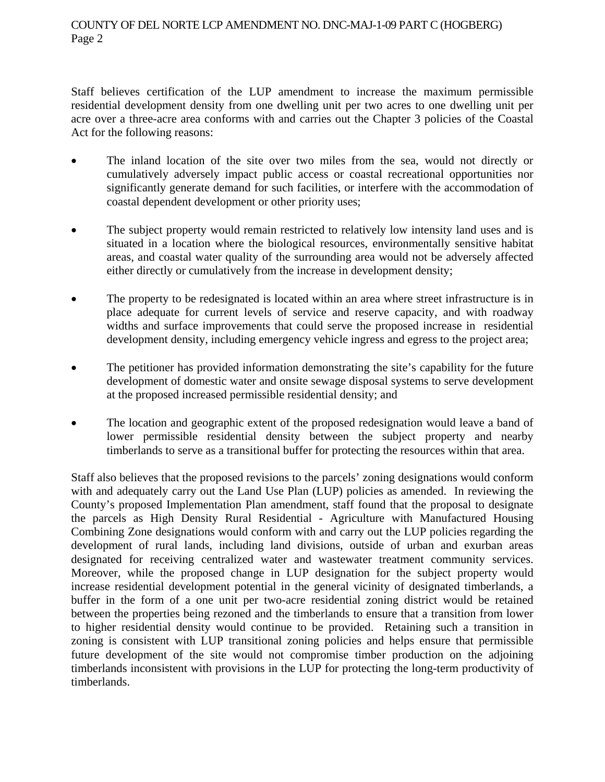Staff believes certification of the LUP amendment to increase the maximum permissible residential development density from one dwelling unit per two acres to one dwelling unit per acre over a three-acre area conforms with and carries out the Chapter 3 policies of the Coastal Act for the following reasons:

- The inland location of the site over two miles from the sea, would not directly or cumulatively adversely impact public access or coastal recreational opportunities nor significantly generate demand for such facilities, or interfere with the accommodation of coastal dependent development or other priority uses;
- The subject property would remain restricted to relatively low intensity land uses and is situated in a location where the biological resources, environmentally sensitive habitat areas, and coastal water quality of the surrounding area would not be adversely affected either directly or cumulatively from the increase in development density;
- The property to be redesignated is located within an area where street infrastructure is in place adequate for current levels of service and reserve capacity, and with roadway widths and surface improvements that could serve the proposed increase in residential development density, including emergency vehicle ingress and egress to the project area;
- The petitioner has provided information demonstrating the site's capability for the future development of domestic water and onsite sewage disposal systems to serve development at the proposed increased permissible residential density; and
- The location and geographic extent of the proposed redesignation would leave a band of lower permissible residential density between the subject property and nearby timberlands to serve as a transitional buffer for protecting the resources within that area.

Staff also believes that the proposed revisions to the parcels' zoning designations would conform with and adequately carry out the Land Use Plan (LUP) policies as amended. In reviewing the County's proposed Implementation Plan amendment, staff found that the proposal to designate the parcels as High Density Rural Residential - Agriculture with Manufactured Housing Combining Zone designations would conform with and carry out the LUP policies regarding the development of rural lands, including land divisions, outside of urban and exurban areas designated for receiving centralized water and wastewater treatment community services. Moreover, while the proposed change in LUP designation for the subject property would increase residential development potential in the general vicinity of designated timberlands, a buffer in the form of a one unit per two-acre residential zoning district would be retained between the properties being rezoned and the timberlands to ensure that a transition from lower to higher residential density would continue to be provided. Retaining such a transition in zoning is consistent with LUP transitional zoning policies and helps ensure that permissible future development of the site would not compromise timber production on the adjoining timberlands inconsistent with provisions in the LUP for protecting the long-term productivity of timberlands.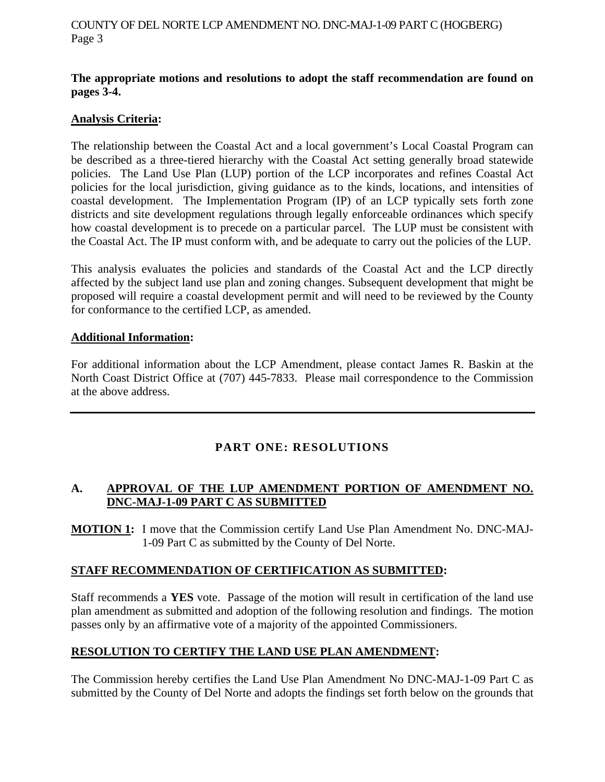#### **The appropriate motions and resolutions to adopt the staff recommendation are found on pages 3-4.**

## **Analysis Criteria:**

The relationship between the Coastal Act and a local government's Local Coastal Program can be described as a three-tiered hierarchy with the Coastal Act setting generally broad statewide policies. The Land Use Plan (LUP) portion of the LCP incorporates and refines Coastal Act policies for the local jurisdiction, giving guidance as to the kinds, locations, and intensities of coastal development. The Implementation Program (IP) of an LCP typically sets forth zone districts and site development regulations through legally enforceable ordinances which specify how coastal development is to precede on a particular parcel. The LUP must be consistent with the Coastal Act. The IP must conform with, and be adequate to carry out the policies of the LUP.

This analysis evaluates the policies and standards of the Coastal Act and the LCP directly affected by the subject land use plan and zoning changes. Subsequent development that might be proposed will require a coastal development permit and will need to be reviewed by the County for conformance to the certified LCP, as amended.

## **Additional Information:**

For additional information about the LCP Amendment, please contact James R. Baskin at the North Coast District Office at (707) 445-7833. Please mail correspondence to the Commission at the above address.

## **PART ONE: RESOLUTIONS**

## **A. APPROVAL OF THE LUP AMENDMENT PORTION OF AMENDMENT NO. DNC-MAJ-1-09 PART C AS SUBMITTED**

**MOTION 1:** I move that the Commission certify Land Use Plan Amendment No. DNC-MAJ-1-09 Part C as submitted by the County of Del Norte.

## **STAFF RECOMMENDATION OF CERTIFICATION AS SUBMITTED:**

Staff recommends a **YES** vote. Passage of the motion will result in certification of the land use plan amendment as submitted and adoption of the following resolution and findings. The motion passes only by an affirmative vote of a majority of the appointed Commissioners.

## **RESOLUTION TO CERTIFY THE LAND USE PLAN AMENDMENT:**

The Commission hereby certifies the Land Use Plan Amendment No DNC-MAJ-1-09 Part C as submitted by the County of Del Norte and adopts the findings set forth below on the grounds that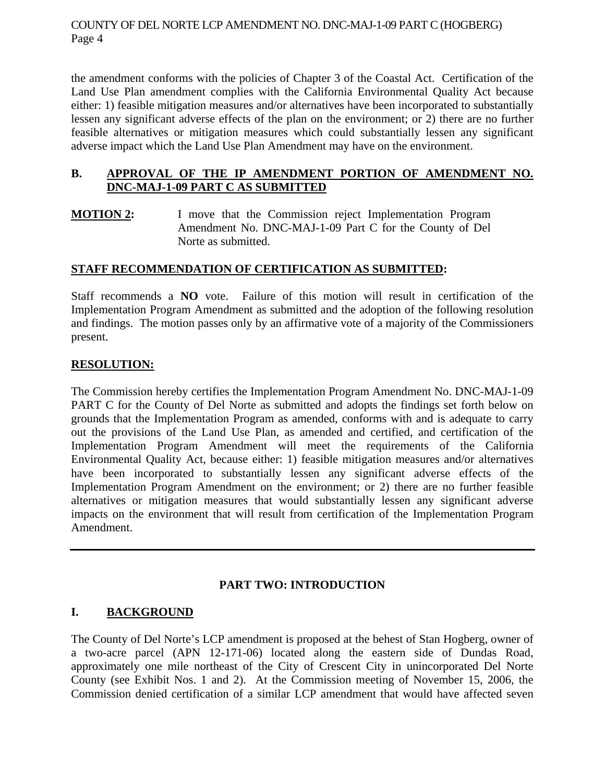the amendment conforms with the policies of Chapter 3 of the Coastal Act. Certification of the Land Use Plan amendment complies with the California Environmental Quality Act because either: 1) feasible mitigation measures and/or alternatives have been incorporated to substantially lessen any significant adverse effects of the plan on the environment; or 2) there are no further feasible alternatives or mitigation measures which could substantially lessen any significant adverse impact which the Land Use Plan Amendment may have on the environment.

## **B. APPROVAL OF THE IP AMENDMENT PORTION OF AMENDMENT NO. DNC-MAJ-1-09 PART C AS SUBMITTED**

**MOTION 2:** I move that the Commission reject Implementation Program Amendment No. DNC-MAJ-1-09 Part C for the County of Del Norte as submitted.

## **STAFF RECOMMENDATION OF CERTIFICATION AS SUBMITTED:**

Staff recommends a **NO** vote. Failure of this motion will result in certification of the Implementation Program Amendment as submitted and the adoption of the following resolution and findings. The motion passes only by an affirmative vote of a majority of the Commissioners present.

## **RESOLUTION:**

The Commission hereby certifies the Implementation Program Amendment No. DNC-MAJ-1-09 PART C for the County of Del Norte as submitted and adopts the findings set forth below on grounds that the Implementation Program as amended, conforms with and is adequate to carry out the provisions of the Land Use Plan, as amended and certified, and certification of the Implementation Program Amendment will meet the requirements of the California Environmental Quality Act, because either: 1) feasible mitigation measures and/or alternatives have been incorporated to substantially lessen any significant adverse effects of the Implementation Program Amendment on the environment; or 2) there are no further feasible alternatives or mitigation measures that would substantially lessen any significant adverse impacts on the environment that will result from certification of the Implementation Program Amendment.

## **PART TWO: INTRODUCTION**

## **I. BACKGROUND**

The County of Del Norte's LCP amendment is proposed at the behest of Stan Hogberg, owner of a two-acre parcel (APN 12-171-06) located along the eastern side of Dundas Road, approximately one mile northeast of the City of Crescent City in unincorporated Del Norte County (see Exhibit Nos. 1 and 2). At the Commission meeting of November 15, 2006, the Commission denied certification of a similar LCP amendment that would have affected seven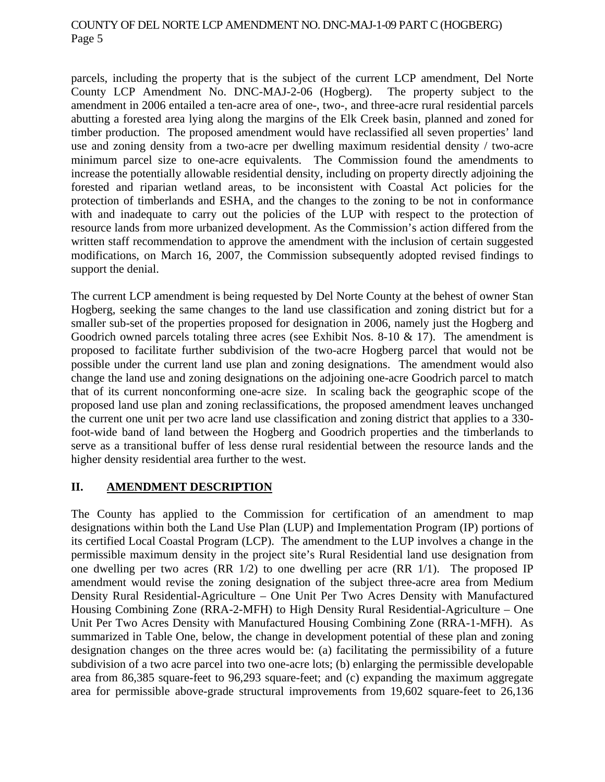parcels, including the property that is the subject of the current LCP amendment, Del Norte County LCP Amendment No. DNC-MAJ-2-06 (Hogberg). The property subject to the amendment in 2006 entailed a ten-acre area of one-, two-, and three-acre rural residential parcels abutting a forested area lying along the margins of the Elk Creek basin, planned and zoned for timber production. The proposed amendment would have reclassified all seven properties' land use and zoning density from a two-acre per dwelling maximum residential density / two-acre minimum parcel size to one-acre equivalents. The Commission found the amendments to increase the potentially allowable residential density, including on property directly adjoining the forested and riparian wetland areas, to be inconsistent with Coastal Act policies for the protection of timberlands and ESHA, and the changes to the zoning to be not in conformance with and inadequate to carry out the policies of the LUP with respect to the protection of resource lands from more urbanized development. As the Commission's action differed from the written staff recommendation to approve the amendment with the inclusion of certain suggested modifications, on March 16, 2007, the Commission subsequently adopted revised findings to support the denial.

The current LCP amendment is being requested by Del Norte County at the behest of owner Stan Hogberg, seeking the same changes to the land use classification and zoning district but for a smaller sub-set of the properties proposed for designation in 2006, namely just the Hogberg and Goodrich owned parcels totaling three acres (see Exhibit Nos. 8-10  $\&$  17). The amendment is proposed to facilitate further subdivision of the two-acre Hogberg parcel that would not be possible under the current land use plan and zoning designations. The amendment would also change the land use and zoning designations on the adjoining one-acre Goodrich parcel to match that of its current nonconforming one-acre size. In scaling back the geographic scope of the proposed land use plan and zoning reclassifications, the proposed amendment leaves unchanged the current one unit per two acre land use classification and zoning district that applies to a 330 foot-wide band of land between the Hogberg and Goodrich properties and the timberlands to serve as a transitional buffer of less dense rural residential between the resource lands and the higher density residential area further to the west.

## **II. AMENDMENT DESCRIPTION**

The County has applied to the Commission for certification of an amendment to map designations within both the Land Use Plan (LUP) and Implementation Program (IP) portions of its certified Local Coastal Program (LCP). The amendment to the LUP involves a change in the permissible maximum density in the project site's Rural Residential land use designation from one dwelling per two acres (RR 1/2) to one dwelling per acre (RR 1/1). The proposed IP amendment would revise the zoning designation of the subject three-acre area from Medium Density Rural Residential-Agriculture – One Unit Per Two Acres Density with Manufactured Housing Combining Zone (RRA-2-MFH) to High Density Rural Residential-Agriculture – One Unit Per Two Acres Density with Manufactured Housing Combining Zone (RRA-1-MFH). As summarized in Table One, below, the change in development potential of these plan and zoning designation changes on the three acres would be: (a) facilitating the permissibility of a future subdivision of a two acre parcel into two one-acre lots; (b) enlarging the permissible developable area from 86,385 square-feet to 96,293 square-feet; and (c) expanding the maximum aggregate area for permissible above-grade structural improvements from 19,602 square-feet to 26,136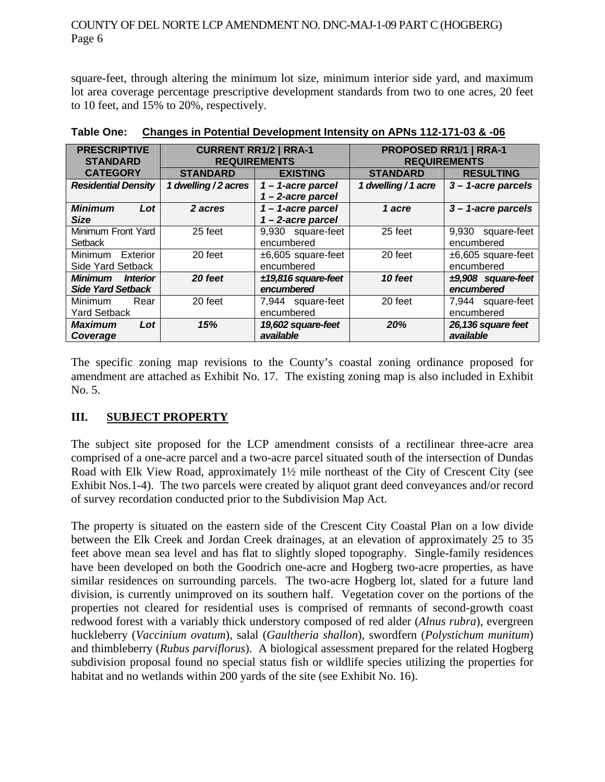square-feet, through altering the minimum lot size, minimum interior side yard, and maximum lot area coverage percentage prescriptive development standards from two to one acres, 20 feet to 10 feet, and 15% to 20%, respectively.

| <b>PRESCRIPTIVE</b>                      | <b>CURRENT RR1/2   RRA-1</b> |                       | <b>PROPOSED RR1/1   RRA-1</b> |                       |
|------------------------------------------|------------------------------|-----------------------|-------------------------------|-----------------------|
| <b>STANDARD</b>                          | <b>REQUIREMENTS</b>          |                       | <b>REQUIREMENTS</b>           |                       |
| <b>CATEGORY</b>                          | <b>STANDARD</b>              | <b>EXISTING</b>       | <b>STANDARD</b>               | <b>RESULTING</b>      |
| <b>Residential Density</b>               | 1 dwelling / 2 acres         | $1 - 1$ -acre parcel  | 1 dwelling / 1 acre           | $3 - 1$ -acre parcels |
|                                          |                              | $1 - 2$ -acre parcel  |                               |                       |
| <b>Minimum</b><br>Lot                    | 2 acres                      | 1-1-acre parcel       | 1 acre                        | $3 - 1$ -acre parcels |
| <b>Size</b>                              |                              | 1-2-acre parcel       |                               |                       |
| Minimum Front Yard                       | 25 feet                      | 9,930 square-feet     | 25 feet                       | 9,930<br>square-feet  |
| Setback                                  |                              | encumbered            |                               | encumbered            |
| Minimum Exterior                         | 20 feet                      | $±6,605$ square-feet  | 20 feet                       | $±6,605$ square-feet  |
| Side Yard Setback                        |                              | encumbered            |                               | encumbered            |
| <b>Minimum</b><br><i><b>Interior</b></i> | 20 feet                      | $±19,816$ square-feet | 10 feet                       | $±9,908$ square-feet  |
| <b>Side Yard Setback</b>                 |                              | encumbered            |                               | encumbered            |
| Rear<br><b>Minimum</b>                   | 20 feet                      | 7,944 square-feet     | 20 feet                       | 7,944 square-feet     |
| <b>Yard Setback</b>                      |                              | encumbered            |                               | encumbered            |
| <b>Maximum</b><br>Lot                    | 15%                          | 19,602 square-feet    | 20%                           | 26,136 square feet    |
| Coverage                                 |                              | available             |                               | available             |

**Table One: Changes in Potential Development Intensity on APNs 112-171-03 & -06**

The specific zoning map revisions to the County's coastal zoning ordinance proposed for amendment are attached as Exhibit No. 17. The existing zoning map is also included in Exhibit No. 5.

## **III. SUBJECT PROPERTY**

The subject site proposed for the LCP amendment consists of a rectilinear three-acre area comprised of a one-acre parcel and a two-acre parcel situated south of the intersection of Dundas Road with Elk View Road, approximately 1½ mile northeast of the City of Crescent City (see Exhibit Nos.1-4). The two parcels were created by aliquot grant deed conveyances and/or record of survey recordation conducted prior to the Subdivision Map Act.

The property is situated on the eastern side of the Crescent City Coastal Plan on a low divide between the Elk Creek and Jordan Creek drainages, at an elevation of approximately 25 to 35 feet above mean sea level and has flat to slightly sloped topography. Single-family residences have been developed on both the Goodrich one-acre and Hogberg two-acre properties, as have similar residences on surrounding parcels. The two-acre Hogberg lot, slated for a future land division, is currently unimproved on its southern half. Vegetation cover on the portions of the properties not cleared for residential uses is comprised of remnants of second-growth coast redwood forest with a variably thick understory composed of red alder (*Alnus rubra*), evergreen huckleberry (*Vaccinium ovatum*), salal (*Gaultheria shallon*), swordfern (*Polystichum munitum*) and thimbleberry (*Rubus parviflorus*). A biological assessment prepared for the related Hogberg subdivision proposal found no special status fish or wildlife species utilizing the properties for habitat and no wetlands within 200 yards of the site (see Exhibit No. 16).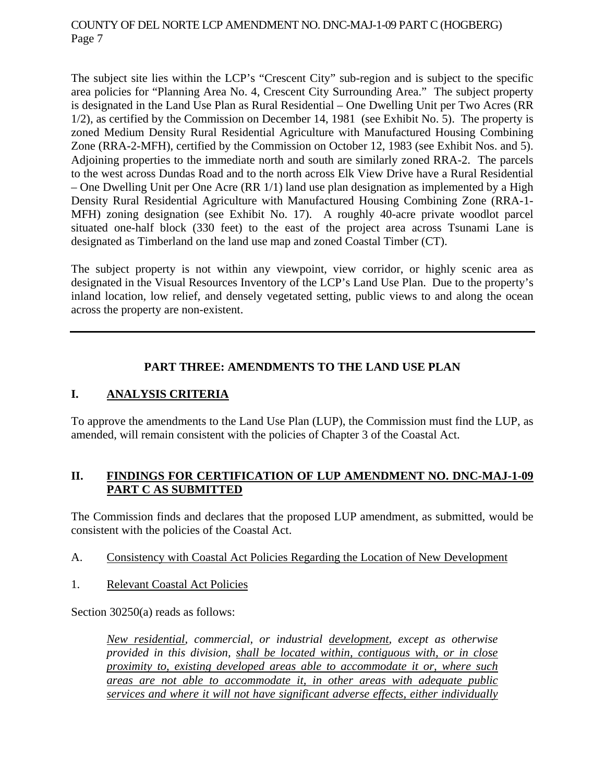The subject site lies within the LCP's "Crescent City" sub-region and is subject to the specific area policies for "Planning Area No. 4, Crescent City Surrounding Area." The subject property is designated in the Land Use Plan as Rural Residential – One Dwelling Unit per Two Acres (RR 1/2), as certified by the Commission on December 14, 1981 (see Exhibit No. 5). The property is zoned Medium Density Rural Residential Agriculture with Manufactured Housing Combining Zone (RRA-2-MFH), certified by the Commission on October 12, 1983 (see Exhibit Nos. and 5). Adjoining properties to the immediate north and south are similarly zoned RRA-2. The parcels to the west across Dundas Road and to the north across Elk View Drive have a Rural Residential – One Dwelling Unit per One Acre (RR 1/1) land use plan designation as implemented by a High Density Rural Residential Agriculture with Manufactured Housing Combining Zone (RRA-1- MFH) zoning designation (see Exhibit No. 17). A roughly 40-acre private woodlot parcel situated one-half block (330 feet) to the east of the project area across Tsunami Lane is designated as Timberland on the land use map and zoned Coastal Timber (CT).

The subject property is not within any viewpoint, view corridor, or highly scenic area as designated in the Visual Resources Inventory of the LCP's Land Use Plan. Due to the property's inland location, low relief, and densely vegetated setting, public views to and along the ocean across the property are non-existent.

## **PART THREE: AMENDMENTS TO THE LAND USE PLAN**

## **I. ANALYSIS CRITERIA**

To approve the amendments to the Land Use Plan (LUP), the Commission must find the LUP, as amended, will remain consistent with the policies of Chapter 3 of the Coastal Act.

## **II. FINDINGS FOR CERTIFICATION OF LUP AMENDMENT NO. DNC-MAJ-1-09 PART C AS SUBMITTED**

The Commission finds and declares that the proposed LUP amendment, as submitted, would be consistent with the policies of the Coastal Act.

## A. Consistency with Coastal Act Policies Regarding the Location of New Development

1. Relevant Coastal Act Policies

Section 30250(a) reads as follows:

*New residential, commercial, or industrial development, except as otherwise provided in this division, shall be located within, contiguous with, or in close proximity to, existing developed areas able to accommodate it or, where such areas are not able to accommodate it, in other areas with adequate public services and where it will not have significant adverse effects, either individually*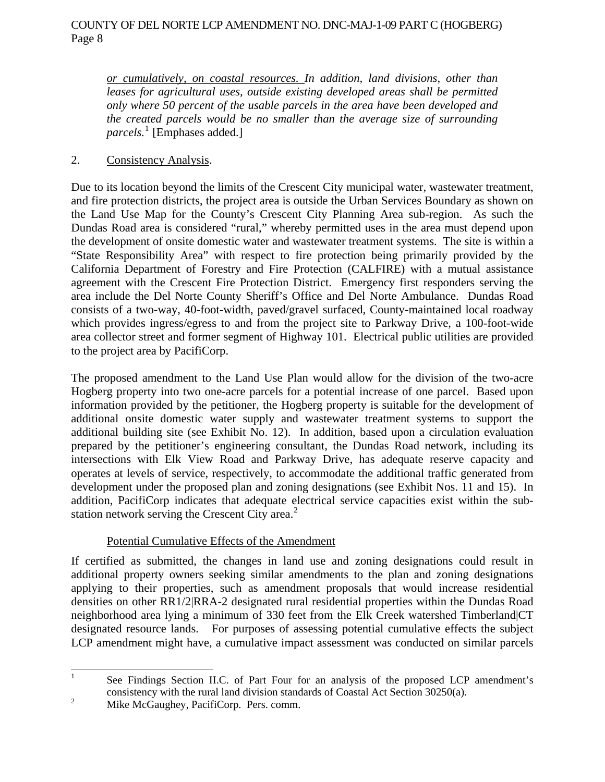*or cumulatively, on coastal resources. In addition, land divisions, other than*  leases for agricultural uses, outside existing developed areas shall be permitted *only where 50 percent of the usable parcels in the area have been developed and the created parcels would be no smaller than the average size of surrounding parcels.*[1](#page-7-0) [Emphases added.]

## 2. Consistency Analysis.

Due to its location beyond the limits of the Crescent City municipal water, wastewater treatment, and fire protection districts, the project area is outside the Urban Services Boundary as shown on the Land Use Map for the County's Crescent City Planning Area sub-region. As such the Dundas Road area is considered "rural," whereby permitted uses in the area must depend upon the development of onsite domestic water and wastewater treatment systems. The site is within a "State Responsibility Area" with respect to fire protection being primarily provided by the California Department of Forestry and Fire Protection (CALFIRE) with a mutual assistance agreement with the Crescent Fire Protection District. Emergency first responders serving the area include the Del Norte County Sheriff's Office and Del Norte Ambulance. Dundas Road consists of a two-way, 40-foot-width, paved/gravel surfaced, County-maintained local roadway which provides ingress/egress to and from the project site to Parkway Drive, a 100-foot-wide area collector street and former segment of Highway 101. Electrical public utilities are provided to the project area by PacifiCorp.

The proposed amendment to the Land Use Plan would allow for the division of the two-acre Hogberg property into two one-acre parcels for a potential increase of one parcel. Based upon information provided by the petitioner, the Hogberg property is suitable for the development of additional onsite domestic water supply and wastewater treatment systems to support the additional building site (see Exhibit No. 12). In addition, based upon a circulation evaluation prepared by the petitioner's engineering consultant, the Dundas Road network, including its intersections with Elk View Road and Parkway Drive, has adequate reserve capacity and operates at levels of service, respectively, to accommodate the additional traffic generated from development under the proposed plan and zoning designations (see Exhibit Nos. 11 and 15). In addition, PacifiCorp indicates that adequate electrical service capacities exist within the substation network serving the Crescent City area. $2$ 

## Potential Cumulative Effects of the Amendment

If certified as submitted, the changes in land use and zoning designations could result in additional property owners seeking similar amendments to the plan and zoning designations applying to their properties, such as amendment proposals that would increase residential densities on other RR1/2|RRA-2 designated rural residential properties within the Dundas Road neighborhood area lying a minimum of 330 feet from the Elk Creek watershed Timberland|CT designated resource lands. For purposes of assessing potential cumulative effects the subject LCP amendment might have, a cumulative impact assessment was conducted on similar parcels

<span id="page-7-0"></span> $\frac{1}{1}$  See Findings Section II.C. of Part Four for an analysis of the proposed LCP amendment's consistency with the rural land division standards of Coastal Act Section 30250(a).

<span id="page-7-1"></span><sup>2</sup> Mike McGaughey, PacifiCorp. Pers. comm.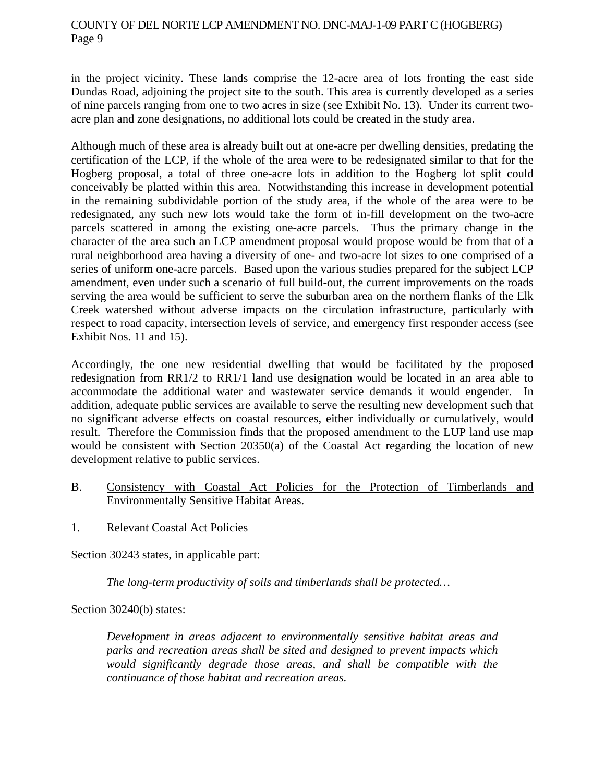in the project vicinity. These lands comprise the 12-acre area of lots fronting the east side Dundas Road, adjoining the project site to the south. This area is currently developed as a series of nine parcels ranging from one to two acres in size (see Exhibit No. 13). Under its current twoacre plan and zone designations, no additional lots could be created in the study area.

Although much of these area is already built out at one-acre per dwelling densities, predating the certification of the LCP, if the whole of the area were to be redesignated similar to that for the Hogberg proposal, a total of three one-acre lots in addition to the Hogberg lot split could conceivably be platted within this area. Notwithstanding this increase in development potential in the remaining subdividable portion of the study area, if the whole of the area were to be redesignated, any such new lots would take the form of in-fill development on the two-acre parcels scattered in among the existing one-acre parcels. Thus the primary change in the character of the area such an LCP amendment proposal would propose would be from that of a rural neighborhood area having a diversity of one- and two-acre lot sizes to one comprised of a series of uniform one-acre parcels. Based upon the various studies prepared for the subject LCP amendment, even under such a scenario of full build-out, the current improvements on the roads serving the area would be sufficient to serve the suburban area on the northern flanks of the Elk Creek watershed without adverse impacts on the circulation infrastructure, particularly with respect to road capacity, intersection levels of service, and emergency first responder access (see Exhibit Nos. 11 and 15).

Accordingly, the one new residential dwelling that would be facilitated by the proposed redesignation from RR1/2 to RR1/1 land use designation would be located in an area able to accommodate the additional water and wastewater service demands it would engender. In addition, adequate public services are available to serve the resulting new development such that no significant adverse effects on coastal resources, either individually or cumulatively, would result. Therefore the Commission finds that the proposed amendment to the LUP land use map would be consistent with Section 20350(a) of the Coastal Act regarding the location of new development relative to public services.

- B. Consistency with Coastal Act Policies for the Protection of Timberlands and Environmentally Sensitive Habitat Areas.
- 1. Relevant Coastal Act Policies

Section 30243 states, in applicable part:

*The long-term productivity of soils and timberlands shall be protected…* 

Section 30240(b) states:

*Development in areas adjacent to environmentally sensitive habitat areas and parks and recreation areas shall be sited and designed to prevent impacts which would significantly degrade those areas, and shall be compatible with the continuance of those habitat and recreation areas.*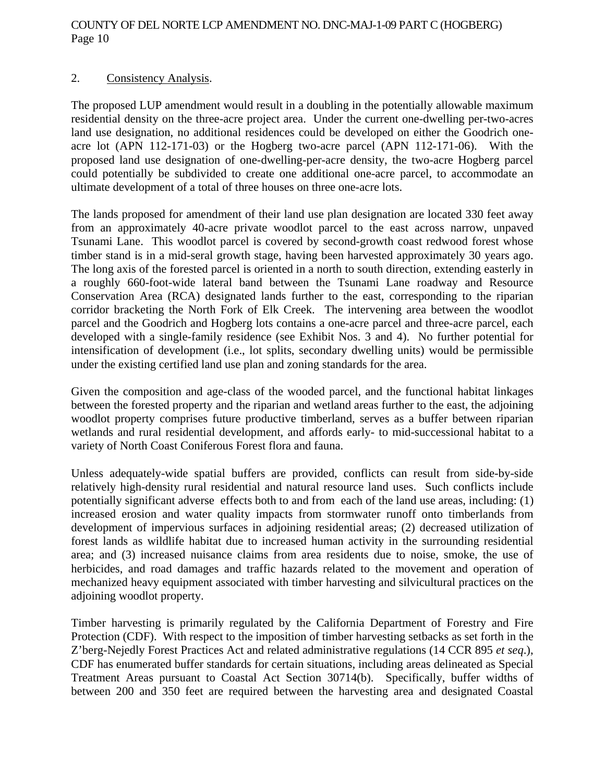## 2. Consistency Analysis.

The proposed LUP amendment would result in a doubling in the potentially allowable maximum residential density on the three-acre project area. Under the current one-dwelling per-two-acres land use designation, no additional residences could be developed on either the Goodrich oneacre lot (APN 112-171-03) or the Hogberg two-acre parcel (APN 112-171-06). With the proposed land use designation of one-dwelling-per-acre density, the two-acre Hogberg parcel could potentially be subdivided to create one additional one-acre parcel, to accommodate an ultimate development of a total of three houses on three one-acre lots.

The lands proposed for amendment of their land use plan designation are located 330 feet away from an approximately 40-acre private woodlot parcel to the east across narrow, unpaved Tsunami Lane. This woodlot parcel is covered by second-growth coast redwood forest whose timber stand is in a mid-seral growth stage, having been harvested approximately 30 years ago. The long axis of the forested parcel is oriented in a north to south direction, extending easterly in a roughly 660-foot-wide lateral band between the Tsunami Lane roadway and Resource Conservation Area (RCA) designated lands further to the east, corresponding to the riparian corridor bracketing the North Fork of Elk Creek. The intervening area between the woodlot parcel and the Goodrich and Hogberg lots contains a one-acre parcel and three-acre parcel, each developed with a single-family residence (see Exhibit Nos. 3 and 4). No further potential for intensification of development (i.e., lot splits, secondary dwelling units) would be permissible under the existing certified land use plan and zoning standards for the area.

Given the composition and age-class of the wooded parcel, and the functional habitat linkages between the forested property and the riparian and wetland areas further to the east, the adjoining woodlot property comprises future productive timberland, serves as a buffer between riparian wetlands and rural residential development, and affords early- to mid-successional habitat to a variety of North Coast Coniferous Forest flora and fauna.

Unless adequately-wide spatial buffers are provided, conflicts can result from side-by-side relatively high-density rural residential and natural resource land uses. Such conflicts include potentially significant adverse effects both to and from each of the land use areas, including: (1) increased erosion and water quality impacts from stormwater runoff onto timberlands from development of impervious surfaces in adjoining residential areas; (2) decreased utilization of forest lands as wildlife habitat due to increased human activity in the surrounding residential area; and (3) increased nuisance claims from area residents due to noise, smoke, the use of herbicides, and road damages and traffic hazards related to the movement and operation of mechanized heavy equipment associated with timber harvesting and silvicultural practices on the adjoining woodlot property.

Timber harvesting is primarily regulated by the California Department of Forestry and Fire Protection (CDF). With respect to the imposition of timber harvesting setbacks as set forth in the Z'berg-Nejedly Forest Practices Act and related administrative regulations (14 CCR 895 *et seq*.), CDF has enumerated buffer standards for certain situations, including areas delineated as Special Treatment Areas pursuant to Coastal Act Section 30714(b). Specifically, buffer widths of between 200 and 350 feet are required between the harvesting area and designated Coastal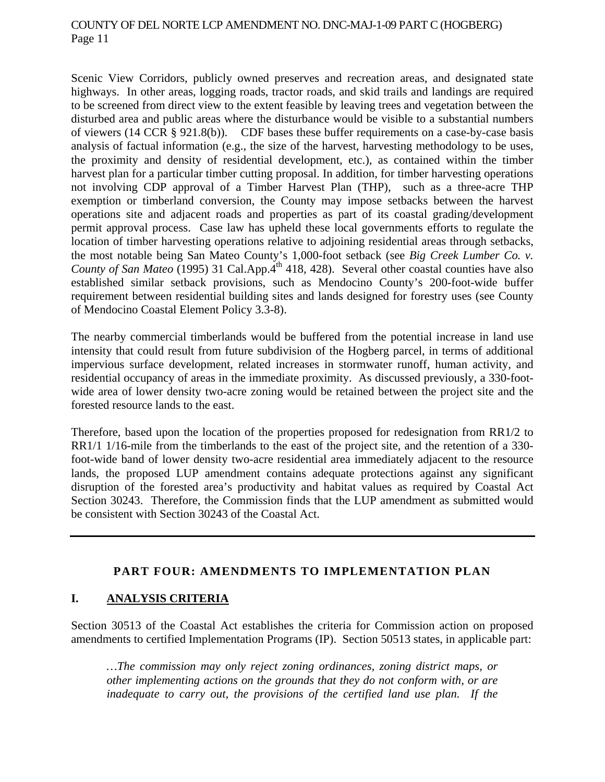Scenic View Corridors, publicly owned preserves and recreation areas, and designated state highways. In other areas, logging roads, tractor roads, and skid trails and landings are required to be screened from direct view to the extent feasible by leaving trees and vegetation between the disturbed area and public areas where the disturbance would be visible to a substantial numbers of viewers (14 CCR § 921.8(b)). CDF bases these buffer requirements on a case-by-case basis analysis of factual information (e.g., the size of the harvest, harvesting methodology to be uses, the proximity and density of residential development, etc.), as contained within the timber harvest plan for a particular timber cutting proposal. In addition, for timber harvesting operations not involving CDP approval of a Timber Harvest Plan (THP), such as a three-acre THP exemption or timberland conversion, the County may impose setbacks between the harvest operations site and adjacent roads and properties as part of its coastal grading/development permit approval process. Case law has upheld these local governments efforts to regulate the location of timber harvesting operations relative to adjoining residential areas through setbacks, the most notable being San Mateo County's 1,000-foot setback (see *Big Creek Lumber Co. v. County of San Mateo* (1995) 31 Cal.App.<sup>4th</sup> 418, 428). Several other coastal counties have also established similar setback provisions, such as Mendocino County's 200-foot-wide buffer requirement between residential building sites and lands designed for forestry uses (see County of Mendocino Coastal Element Policy 3.3-8).

The nearby commercial timberlands would be buffered from the potential increase in land use intensity that could result from future subdivision of the Hogberg parcel, in terms of additional impervious surface development, related increases in stormwater runoff, human activity, and residential occupancy of areas in the immediate proximity. As discussed previously, a 330-footwide area of lower density two-acre zoning would be retained between the project site and the forested resource lands to the east.

Therefore, based upon the location of the properties proposed for redesignation from RR1/2 to RR1/1 1/16-mile from the timberlands to the east of the project site, and the retention of a 330 foot-wide band of lower density two-acre residential area immediately adjacent to the resource lands, the proposed LUP amendment contains adequate protections against any significant disruption of the forested area's productivity and habitat values as required by Coastal Act Section 30243. Therefore, the Commission finds that the LUP amendment as submitted would be consistent with Section 30243 of the Coastal Act.

#### **PART FOUR: AMENDMENTS TO IMPLEMENTATION PLAN**

## **I. ANALYSIS CRITERIA**

Section 30513 of the Coastal Act establishes the criteria for Commission action on proposed amendments to certified Implementation Programs (IP). Section 50513 states, in applicable part:

*…The commission may only reject zoning ordinances, zoning district maps, or other implementing actions on the grounds that they do not conform with, or are inadequate to carry out, the provisions of the certified land use plan. If the*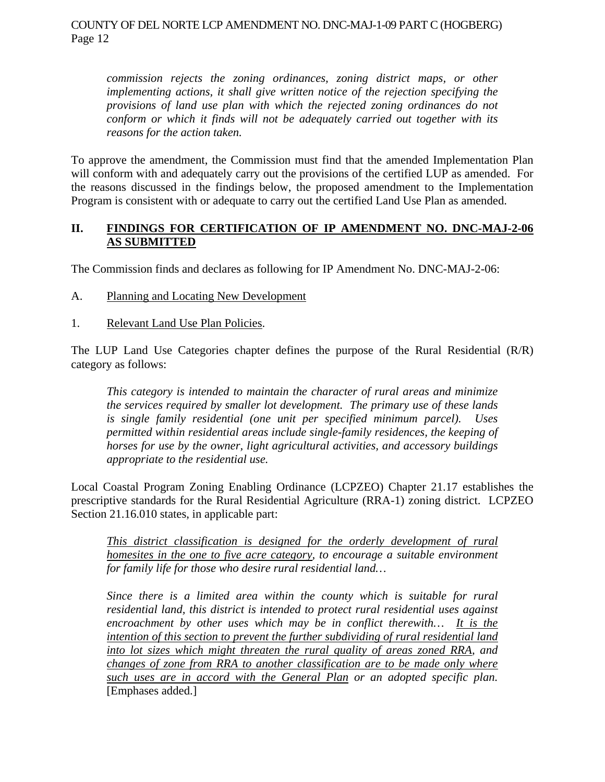*commission rejects the zoning ordinances, zoning district maps, or other implementing actions, it shall give written notice of the rejection specifying the provisions of land use plan with which the rejected zoning ordinances do not conform or which it finds will not be adequately carried out together with its reasons for the action taken.* 

To approve the amendment, the Commission must find that the amended Implementation Plan will conform with and adequately carry out the provisions of the certified LUP as amended. For the reasons discussed in the findings below, the proposed amendment to the Implementation Program is consistent with or adequate to carry out the certified Land Use Plan as amended.

## **II. FINDINGS FOR CERTIFICATION OF IP AMENDMENT NO. DNC-MAJ-2-06 AS SUBMITTED**

The Commission finds and declares as following for IP Amendment No. DNC-MAJ-2-06:

- A. Planning and Locating New Development
- 1. Relevant Land Use Plan Policies.

The LUP Land Use Categories chapter defines the purpose of the Rural Residential (R/R) category as follows:

*This category is intended to maintain the character of rural areas and minimize the services required by smaller lot development. The primary use of these lands is single family residential (one unit per specified minimum parcel). Uses permitted within residential areas include single-family residences, the keeping of horses for use by the owner, light agricultural activities, and accessory buildings appropriate to the residential use.* 

Local Coastal Program Zoning Enabling Ordinance (LCPZEO) Chapter 21.17 establishes the prescriptive standards for the Rural Residential Agriculture (RRA-1) zoning district. LCPZEO Section 21.16.010 states, in applicable part:

*This district classification is designed for the orderly development of rural homesites in the one to five acre category, to encourage a suitable environment for family life for those who desire rural residential land…* 

*Since there is a limited area within the county which is suitable for rural residential land, this district is intended to protect rural residential uses against encroachment by other uses which may be in conflict therewith… It is the intention of this section to prevent the further subdividing of rural residential land into lot sizes which might threaten the rural quality of areas zoned RRA, and changes of zone from RRA to another classification are to be made only where such uses are in accord with the General Plan or an adopted specific plan.* [Emphases added.]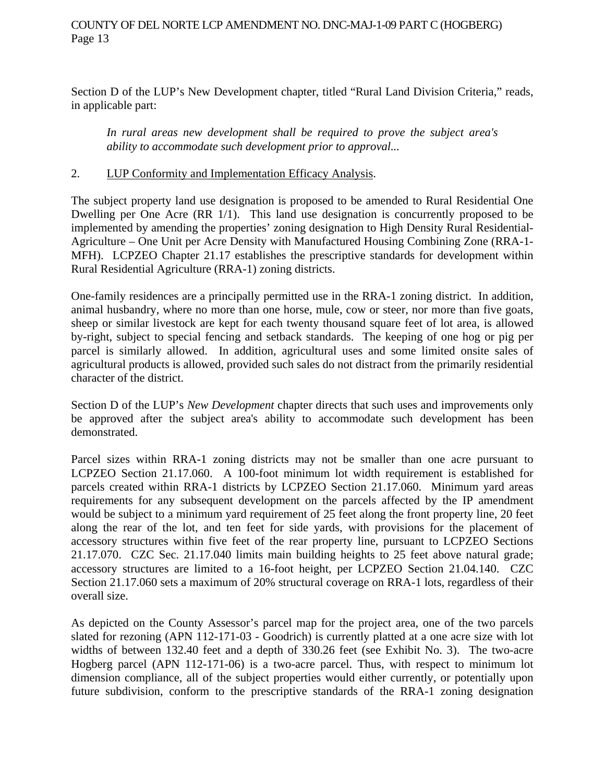Section D of the LUP's New Development chapter, titled "Rural Land Division Criteria," reads, in applicable part:

*In rural areas new development shall be required to prove the subject area's ability to accommodate such development prior to approval...*

## 2. LUP Conformity and Implementation Efficacy Analysis.

The subject property land use designation is proposed to be amended to Rural Residential One Dwelling per One Acre (RR 1/1). This land use designation is concurrently proposed to be implemented by amending the properties' zoning designation to High Density Rural Residential-Agriculture – One Unit per Acre Density with Manufactured Housing Combining Zone (RRA-1- MFH). LCPZEO Chapter 21.17 establishes the prescriptive standards for development within Rural Residential Agriculture (RRA-1) zoning districts.

One-family residences are a principally permitted use in the RRA-1 zoning district. In addition, animal husbandry, where no more than one horse, mule, cow or steer, nor more than five goats, sheep or similar livestock are kept for each twenty thousand square feet of lot area, is allowed by-right, subject to special fencing and setback standards. The keeping of one hog or pig per parcel is similarly allowed. In addition, agricultural uses and some limited onsite sales of agricultural products is allowed, provided such sales do not distract from the primarily residential character of the district.

Section D of the LUP's *New Development* chapter directs that such uses and improvements only be approved after the subject area's ability to accommodate such development has been demonstrated.

Parcel sizes within RRA-1 zoning districts may not be smaller than one acre pursuant to LCPZEO Section 21.17.060. A 100-foot minimum lot width requirement is established for parcels created within RRA-1 districts by LCPZEO Section 21.17.060. Minimum yard areas requirements for any subsequent development on the parcels affected by the IP amendment would be subject to a minimum yard requirement of 25 feet along the front property line, 20 feet along the rear of the lot, and ten feet for side yards, with provisions for the placement of accessory structures within five feet of the rear property line, pursuant to LCPZEO Sections 21.17.070. CZC Sec. 21.17.040 limits main building heights to 25 feet above natural grade; accessory structures are limited to a 16-foot height, per LCPZEO Section 21.04.140. CZC Section 21.17.060 sets a maximum of 20% structural coverage on RRA-1 lots, regardless of their overall size.

As depicted on the County Assessor's parcel map for the project area, one of the two parcels slated for rezoning (APN 112-171-03 - Goodrich) is currently platted at a one acre size with lot widths of between 132.40 feet and a depth of 330.26 feet (see Exhibit No. 3). The two-acre Hogberg parcel (APN 112-171-06) is a two-acre parcel. Thus, with respect to minimum lot dimension compliance, all of the subject properties would either currently, or potentially upon future subdivision, conform to the prescriptive standards of the RRA-1 zoning designation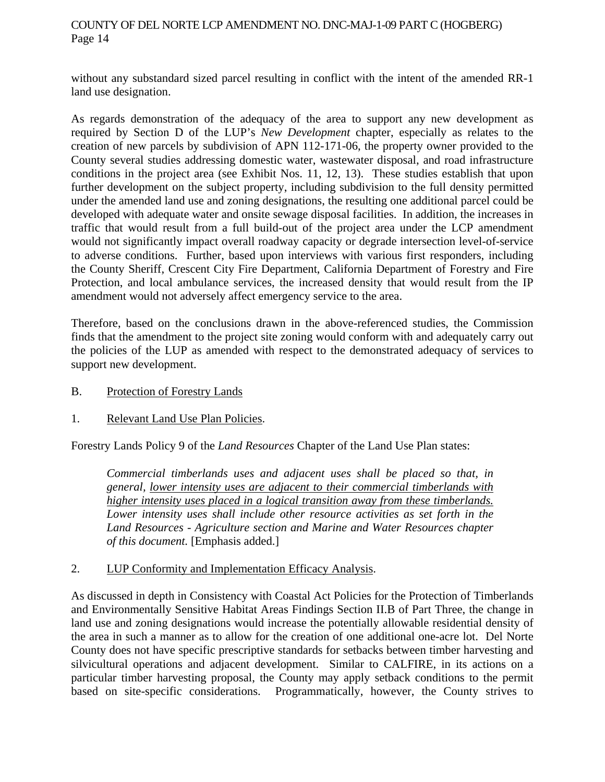without any substandard sized parcel resulting in conflict with the intent of the amended RR-1 land use designation.

As regards demonstration of the adequacy of the area to support any new development as required by Section D of the LUP's *New Development* chapter, especially as relates to the creation of new parcels by subdivision of APN 112-171-06, the property owner provided to the County several studies addressing domestic water, wastewater disposal, and road infrastructure conditions in the project area (see Exhibit Nos. 11, 12, 13). These studies establish that upon further development on the subject property, including subdivision to the full density permitted under the amended land use and zoning designations, the resulting one additional parcel could be developed with adequate water and onsite sewage disposal facilities. In addition, the increases in traffic that would result from a full build-out of the project area under the LCP amendment would not significantly impact overall roadway capacity or degrade intersection level-of-service to adverse conditions. Further, based upon interviews with various first responders, including the County Sheriff, Crescent City Fire Department, California Department of Forestry and Fire Protection, and local ambulance services, the increased density that would result from the IP amendment would not adversely affect emergency service to the area.

Therefore, based on the conclusions drawn in the above-referenced studies, the Commission finds that the amendment to the project site zoning would conform with and adequately carry out the policies of the LUP as amended with respect to the demonstrated adequacy of services to support new development.

- B. Protection of Forestry Lands
- 1. Relevant Land Use Plan Policies.

Forestry Lands Policy 9 of the *Land Resources* Chapter of the Land Use Plan states:

*Commercial timberlands uses and adjacent uses shall be placed so that, in general, lower intensity uses are adjacent to their commercial timberlands with higher intensity uses placed in a logical transition away from these timberlands. Lower intensity uses shall include other resource activities as set forth in the Land Resources - Agriculture section and Marine and Water Resources chapter of this document.* [Emphasis added.]

2. LUP Conformity and Implementation Efficacy Analysis.

As discussed in depth in Consistency with Coastal Act Policies for the Protection of Timberlands and Environmentally Sensitive Habitat Areas Findings Section II.B of Part Three, the change in land use and zoning designations would increase the potentially allowable residential density of the area in such a manner as to allow for the creation of one additional one-acre lot. Del Norte County does not have specific prescriptive standards for setbacks between timber harvesting and silvicultural operations and adjacent development. Similar to CALFIRE, in its actions on a particular timber harvesting proposal, the County may apply setback conditions to the permit based on site-specific considerations. Programmatically, however, the County strives to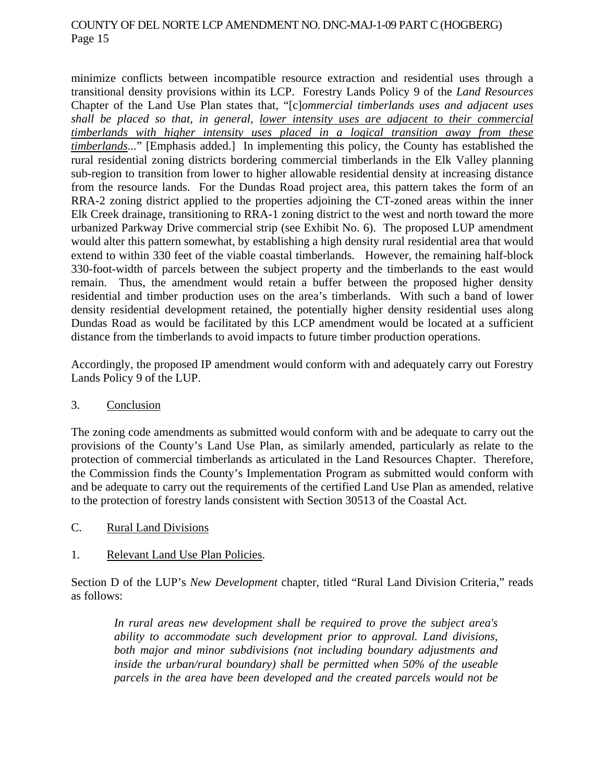minimize conflicts between incompatible resource extraction and residential uses through a transitional density provisions within its LCP. Forestry Lands Policy 9 of the *Land Resources* Chapter of the Land Use Plan states that, "[c]*ommercial timberlands uses and adjacent uses shall be placed so that, in general, lower intensity uses are adjacent to their commercial timberlands with higher intensity uses placed in a logical transition away from these timberlands...*" [Emphasis added.] In implementing this policy, the County has established the rural residential zoning districts bordering commercial timberlands in the Elk Valley planning sub-region to transition from lower to higher allowable residential density at increasing distance from the resource lands. For the Dundas Road project area, this pattern takes the form of an RRA-2 zoning district applied to the properties adjoining the CT-zoned areas within the inner Elk Creek drainage, transitioning to RRA-1 zoning district to the west and north toward the more urbanized Parkway Drive commercial strip (see Exhibit No. 6). The proposed LUP amendment would alter this pattern somewhat, by establishing a high density rural residential area that would extend to within 330 feet of the viable coastal timberlands. However, the remaining half-block 330-foot-width of parcels between the subject property and the timberlands to the east would remain. Thus, the amendment would retain a buffer between the proposed higher density residential and timber production uses on the area's timberlands. With such a band of lower density residential development retained, the potentially higher density residential uses along Dundas Road as would be facilitated by this LCP amendment would be located at a sufficient distance from the timberlands to avoid impacts to future timber production operations.

Accordingly, the proposed IP amendment would conform with and adequately carry out Forestry Lands Policy 9 of the LUP.

## 3. Conclusion

The zoning code amendments as submitted would conform with and be adequate to carry out the provisions of the County's Land Use Plan, as similarly amended, particularly as relate to the protection of commercial timberlands as articulated in the Land Resources Chapter. Therefore, the Commission finds the County's Implementation Program as submitted would conform with and be adequate to carry out the requirements of the certified Land Use Plan as amended, relative to the protection of forestry lands consistent with Section 30513 of the Coastal Act.

C. Rural Land Divisions

## 1. Relevant Land Use Plan Policies.

Section D of the LUP's *New Development* chapter, titled "Rural Land Division Criteria," reads as follows:

*In rural areas new development shall be required to prove the subject area's ability to accommodate such development prior to approval. Land divisions, both major and minor subdivisions (not including boundary adjustments and inside the urban/rural boundary) shall be permitted when 50% of the useable parcels in the area have been developed and the created parcels would not be*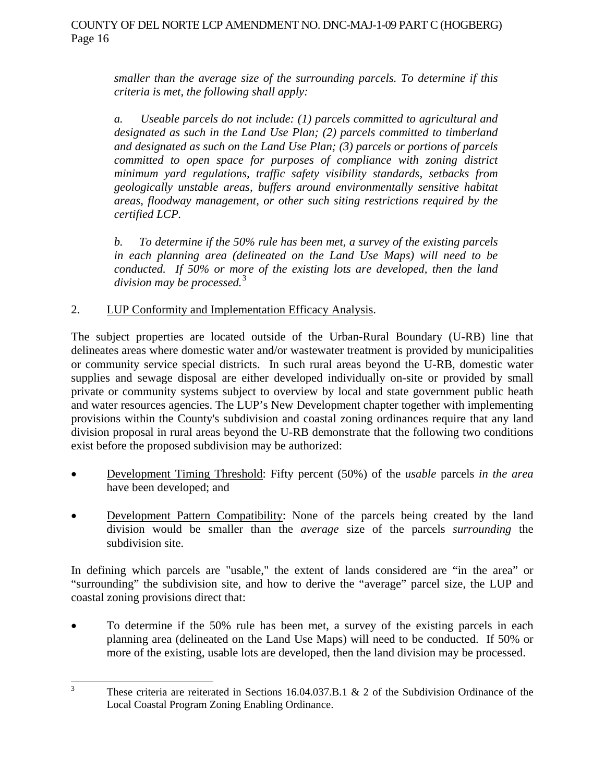*smaller than the average size of the surrounding parcels. To determine if this criteria is met, the following shall apply:* 

*a. Useable parcels do not include: (1) parcels committed to agricultural and designated as such in the Land Use Plan; (2) parcels committed to timberland and designated as such on the Land Use Plan; (3) parcels or portions of parcels committed to open space for purposes of compliance with zoning district minimum yard regulations, traffic safety visibility standards, setbacks from geologically unstable areas, buffers around environmentally sensitive habitat areas, floodway management, or other such siting restrictions required by the certified LCP.* 

*b. To determine if the 50% rule has been met, a survey of the existing parcels in each planning area (delineated on the Land Use Maps) will need to be conducted. If 50% or more of the existing lots are developed, then the land division may be processed.*[3](#page-15-0)

## 2. LUP Conformity and Implementation Efficacy Analysis.

The subject properties are located outside of the Urban-Rural Boundary (U-RB) line that delineates areas where domestic water and/or wastewater treatment is provided by municipalities or community service special districts. In such rural areas beyond the U-RB, domestic water supplies and sewage disposal are either developed individually on-site or provided by small private or community systems subject to overview by local and state government public heath and water resources agencies. The LUP's New Development chapter together with implementing provisions within the County's subdivision and coastal zoning ordinances require that any land division proposal in rural areas beyond the U-RB demonstrate that the following two conditions exist before the proposed subdivision may be authorized:

- Development Timing Threshold: Fifty percent (50%) of the *usable* parcels *in the area* have been developed; and
- Development Pattern Compatibility: None of the parcels being created by the land division would be smaller than the *average* size of the parcels *surrounding* the subdivision site.

In defining which parcels are "usable," the extent of lands considered are "in the area" or "surrounding" the subdivision site, and how to derive the "average" parcel size, the LUP and coastal zoning provisions direct that:

 To determine if the 50% rule has been met, a survey of the existing parcels in each planning area (delineated on the Land Use Maps) will need to be conducted. If 50% or more of the existing, usable lots are developed, then the land division may be processed.

<span id="page-15-0"></span> 3 These criteria are reiterated in Sections 16.04.037.B.1 & 2 of the Subdivision Ordinance of the Local Coastal Program Zoning Enabling Ordinance.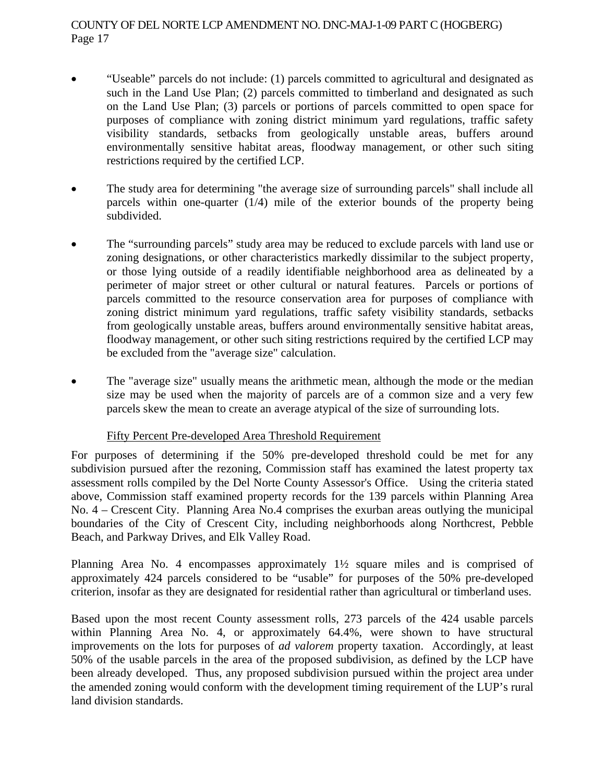- "Useable" parcels do not include: (1) parcels committed to agricultural and designated as such in the Land Use Plan; (2) parcels committed to timberland and designated as such on the Land Use Plan; (3) parcels or portions of parcels committed to open space for purposes of compliance with zoning district minimum yard regulations, traffic safety visibility standards, setbacks from geologically unstable areas, buffers around environmentally sensitive habitat areas, floodway management, or other such siting restrictions required by the certified LCP.
- The study area for determining "the average size of surrounding parcels" shall include all parcels within one-quarter (1/4) mile of the exterior bounds of the property being subdivided.
- The "surrounding parcels" study area may be reduced to exclude parcels with land use or zoning designations, or other characteristics markedly dissimilar to the subject property, or those lying outside of a readily identifiable neighborhood area as delineated by a perimeter of major street or other cultural or natural features. Parcels or portions of parcels committed to the resource conservation area for purposes of compliance with zoning district minimum yard regulations, traffic safety visibility standards, setbacks from geologically unstable areas, buffers around environmentally sensitive habitat areas, floodway management, or other such siting restrictions required by the certified LCP may be excluded from the "average size" calculation.
- The "average size" usually means the arithmetic mean, although the mode or the median size may be used when the majority of parcels are of a common size and a very few parcels skew the mean to create an average atypical of the size of surrounding lots.

## Fifty Percent Pre-developed Area Threshold Requirement

For purposes of determining if the 50% pre-developed threshold could be met for any subdivision pursued after the rezoning, Commission staff has examined the latest property tax assessment rolls compiled by the Del Norte County Assessor's Office. Using the criteria stated above, Commission staff examined property records for the 139 parcels within Planning Area No. 4 – Crescent City. Planning Area No.4 comprises the exurban areas outlying the municipal boundaries of the City of Crescent City, including neighborhoods along Northcrest, Pebble Beach, and Parkway Drives, and Elk Valley Road.

Planning Area No. 4 encompasses approximately 1½ square miles and is comprised of approximately 424 parcels considered to be "usable" for purposes of the 50% pre-developed criterion, insofar as they are designated for residential rather than agricultural or timberland uses.

Based upon the most recent County assessment rolls, 273 parcels of the 424 usable parcels within Planning Area No. 4, or approximately 64.4%, were shown to have structural improvements on the lots for purposes of *ad valorem* property taxation. Accordingly, at least 50% of the usable parcels in the area of the proposed subdivision, as defined by the LCP have been already developed. Thus, any proposed subdivision pursued within the project area under the amended zoning would conform with the development timing requirement of the LUP's rural land division standards.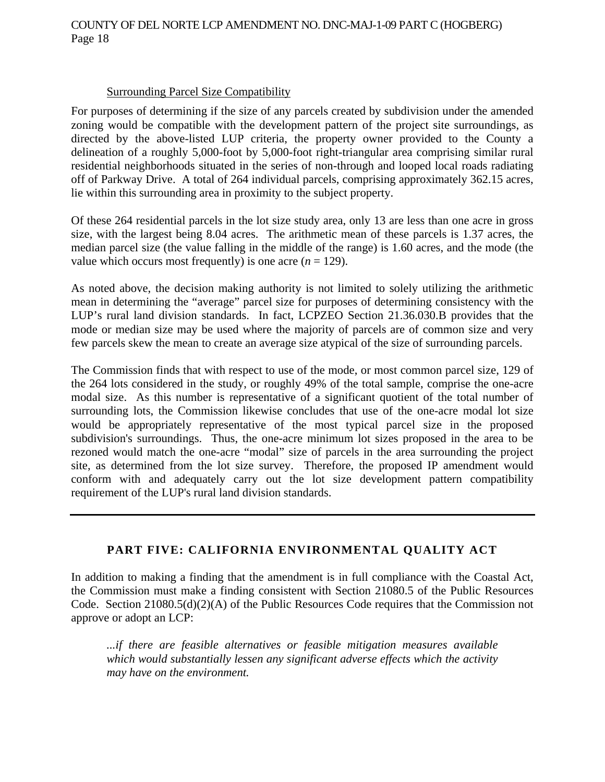#### Surrounding Parcel Size Compatibility

For purposes of determining if the size of any parcels created by subdivision under the amended zoning would be compatible with the development pattern of the project site surroundings, as directed by the above-listed LUP criteria, the property owner provided to the County a delineation of a roughly 5,000-foot by 5,000-foot right-triangular area comprising similar rural residential neighborhoods situated in the series of non-through and looped local roads radiating off of Parkway Drive. A total of 264 individual parcels, comprising approximately 362.15 acres, lie within this surrounding area in proximity to the subject property.

Of these 264 residential parcels in the lot size study area, only 13 are less than one acre in gross size, with the largest being 8.04 acres. The arithmetic mean of these parcels is 1.37 acres, the median parcel size (the value falling in the middle of the range) is 1.60 acres, and the mode (the value which occurs most frequently) is one acre  $(n = 129)$ .

As noted above, the decision making authority is not limited to solely utilizing the arithmetic mean in determining the "average" parcel size for purposes of determining consistency with the LUP's rural land division standards. In fact, LCPZEO Section 21.36.030.B provides that the mode or median size may be used where the majority of parcels are of common size and very few parcels skew the mean to create an average size atypical of the size of surrounding parcels.

The Commission finds that with respect to use of the mode, or most common parcel size, 129 of the 264 lots considered in the study, or roughly 49% of the total sample, comprise the one-acre modal size. As this number is representative of a significant quotient of the total number of surrounding lots, the Commission likewise concludes that use of the one-acre modal lot size would be appropriately representative of the most typical parcel size in the proposed subdivision's surroundings. Thus, the one-acre minimum lot sizes proposed in the area to be rezoned would match the one-acre "modal" size of parcels in the area surrounding the project site, as determined from the lot size survey. Therefore, the proposed IP amendment would conform with and adequately carry out the lot size development pattern compatibility requirement of the LUP's rural land division standards.

## **PART FIVE: CALIFORNIA ENVIRONMENTAL QUALITY ACT**

In addition to making a finding that the amendment is in full compliance with the Coastal Act, the Commission must make a finding consistent with Section 21080.5 of the Public Resources Code. Section 21080.5(d)(2)(A) of the Public Resources Code requires that the Commission not approve or adopt an LCP:

 *...if there are feasible alternatives or feasible mitigation measures available which would substantially lessen any significant adverse effects which the activity may have on the environment.*